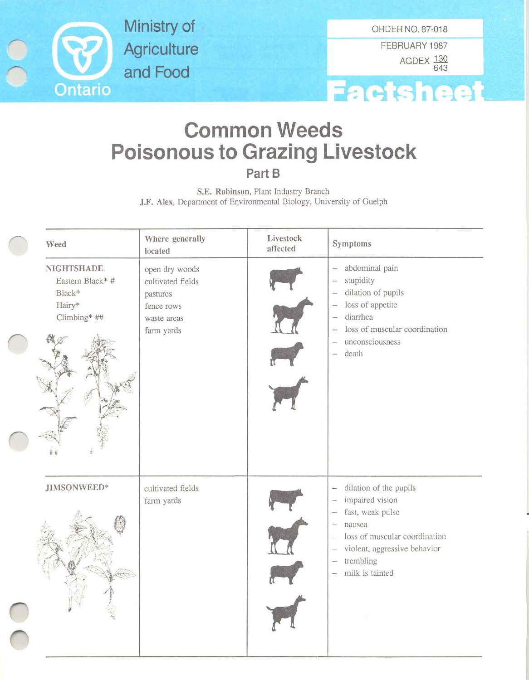

**Ministry of Agriculture and Food**

FEBRUARY 1987 AGDEX <u>130</u> 643



## **Common Weeds Poisonous to Grazing Livestock Part B**

S.E. Robinson, Plant Industry Branch J.F. Alex, Department of Environmental Biology, University of Guelph

| Weed                                                                      | Where generally<br>located                                                                 | Livestock<br>affected | Symptoms                                                                                                                                                                                                                                                                                                               |
|---------------------------------------------------------------------------|--------------------------------------------------------------------------------------------|-----------------------|------------------------------------------------------------------------------------------------------------------------------------------------------------------------------------------------------------------------------------------------------------------------------------------------------------------------|
| <b>NIGHTSHADE</b><br>Eastern Black* #<br>Black*<br>Hairy*<br>Climbing* ## | open dry woods<br>cultivated fields<br>pastures<br>fence rows<br>waste areas<br>farm yards |                       | abdominal pain<br>$-$<br>stupidity<br>dilation of pupils<br>$\overline{\phantom{a}}$<br>loss of appetite<br>$\overline{\phantom{a}}$<br>diarrhea<br>$\overline{\phantom{a}}$<br>loss of muscular coordination<br>unconsciousness<br>$\overline{\phantom{a}}$<br>death<br>$\equiv$                                      |
| JIMSONWEED*                                                               | cultivated fields<br>farm yards                                                            |                       | dilation of the pupils<br>$\overline{\phantom{a}}$<br>impaired vision<br>fast, weak pulse<br>$\overline{a}$<br>nausea<br>$\frac{1}{2}$<br>loss of muscular coordination<br>$\overline{\phantom{a}}$<br>violent, aggressive behavior<br>$\overline{\phantom{a}}$<br>trembling<br>$\overline{ }$<br>milk is tainted<br>÷ |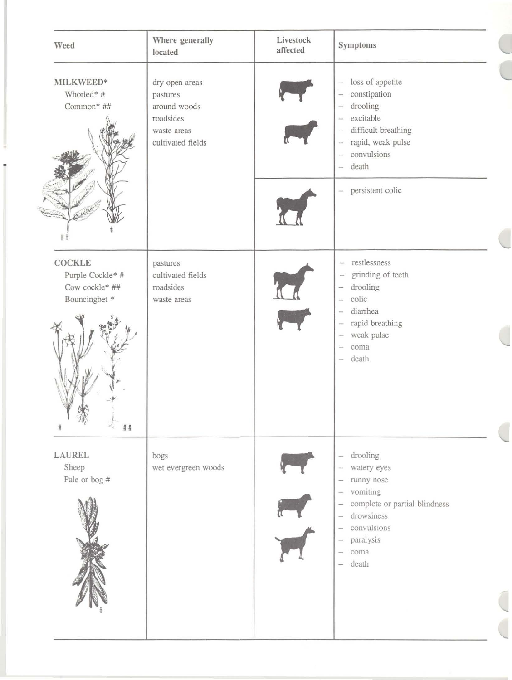| Weed                                                                         | Where generally<br>located                                                                  | Livestock<br>affected | Symptoms                                                                                                                                                                                                                                                                                                                                                                                              |
|------------------------------------------------------------------------------|---------------------------------------------------------------------------------------------|-----------------------|-------------------------------------------------------------------------------------------------------------------------------------------------------------------------------------------------------------------------------------------------------------------------------------------------------------------------------------------------------------------------------------------------------|
| MILKWEED*<br>Whorled*#<br>Common* ##                                         | dry open areas<br>pastures<br>around woods<br>roadsides<br>waste areas<br>cultivated fields |                       | loss of appetite<br>$\overline{\phantom{a}}$<br>constipation<br>$\overline{\phantom{a}}$<br>drooling<br>÷<br>excitable<br>$\overline{\phantom{m}}$<br>difficult breathing<br>$\hspace{0.02in}$<br>rapid, weak pulse<br>$\frac{1}{2}$<br>convulsions<br>$\sim$<br>death<br>$\overline{\phantom{a}}$                                                                                                    |
| #                                                                            |                                                                                             |                       | - persistent colic                                                                                                                                                                                                                                                                                                                                                                                    |
| <b>COCKLE</b><br>Purple Cockle* #<br>Cow cockle* ##<br>Bouncingbet *<br>$\#$ | pastures<br>cultivated fields<br>roadsides<br>waste areas                                   |                       | restlessness<br>$\overline{\phantom{0}}$<br>grinding of teeth<br>$\overline{\phantom{m}}$<br>drooling<br>≕<br>colic<br>$\frac{1}{2}$<br>diarrhea<br>$\overline{\phantom{a}}$<br>rapid breathing<br>$\sim$<br>weak pulse<br>$\overline{\phantom{m}}$<br>coma<br>m<br>death<br>$\qquad \qquad \longleftarrow$                                                                                           |
| <b>LAUREL</b><br>Sheep<br>Pale or bog #                                      | bogs<br>wet evergreen woods                                                                 |                       | drooling<br>$\overline{\phantom{m}}$<br>watery eyes<br>$\sim$<br>runny nose<br>$\overline{\phantom{m}}$<br>vomiting<br>$\overline{\phantom{a}}$<br>complete or partial blindness<br>$\overline{\phantom{a}}$<br>drowsiness<br>$\overline{\phantom{a}}$<br>convulsions<br>$\longrightarrow$<br>paralysis<br>$\longrightarrow$<br>coma<br>$\overline{\phantom{a}}$<br>death<br>$\overline{\phantom{a}}$ |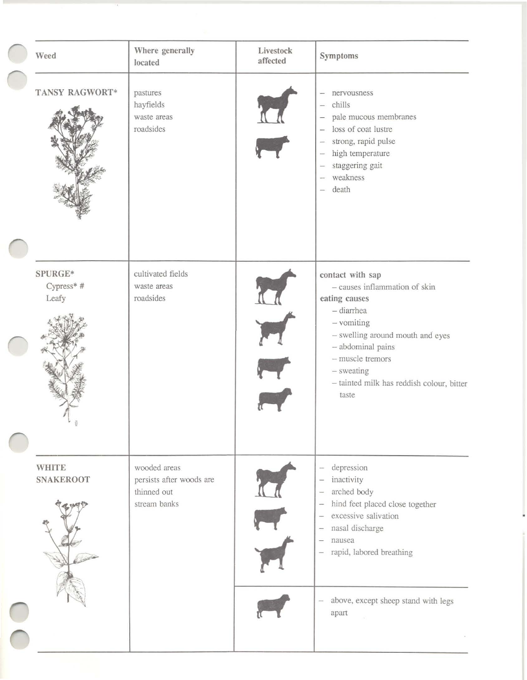| Weed                             | Where generally<br>located                                              | Livestock<br>affected | Symptoms                                                                                                                                                                                                                                                                                                                                                          |
|----------------------------------|-------------------------------------------------------------------------|-----------------------|-------------------------------------------------------------------------------------------------------------------------------------------------------------------------------------------------------------------------------------------------------------------------------------------------------------------------------------------------------------------|
| TANSY RAGWORT*                   | pastures<br>hayfields<br>waste areas<br>roadsides                       |                       | nervousness<br>-<br>chills<br>$\overline{\phantom{a}}$<br>pale mucous membranes<br>$\overline{\phantom{0}}$<br>loss of coat lustre<br>strong, rapid pulse<br>$\overline{\phantom{0}}$<br>high temperature<br>$\overline{\phantom{m}}$<br>staggering gait<br>$\overline{\phantom{0}}$<br>weakness<br>$\overline{\phantom{a}}$<br>death<br>$\overline{\phantom{a}}$ |
| SPURGE*<br>$Cypress*$ #<br>Leafy | cultivated fields<br>waste areas<br>roadsides                           |                       | contact with sap<br>- causes inflammation of skin<br>eating causes<br>$-$ diarrhea<br>$-$ vomiting<br>- swelling around mouth and eyes<br>- abdominal pains<br>- muscle tremors<br>- sweating<br>- tainted milk has reddish colour, bitter<br>taste                                                                                                               |
| <b>WHITE</b><br><b>SNAKEROOT</b> | wooded areas<br>persists after woods are<br>thinned out<br>stream banks |                       | depression<br>$\overline{\phantom{a}}$<br>inactivity<br>$\qquad \qquad$<br>arched body<br>hind feet placed close together<br>$\overline{\phantom{a}}$<br>excessive salivation<br>$\overline{\phantom{a}}$<br>nasal discharge<br>$\equiv$<br>nausea<br>$\qquad \qquad -$<br>rapid, labored breathing<br>$\overline{\phantom{a}}$                                   |
|                                  |                                                                         |                       | above, except sheep stand with legs<br>$\overline{\phantom{0}}$<br>apart                                                                                                                                                                                                                                                                                          |